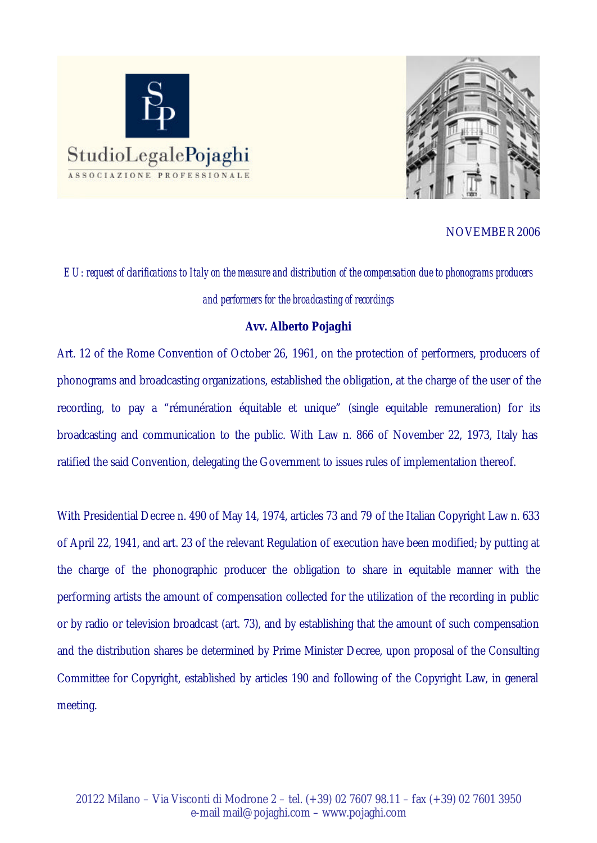



NOVEMBER 2006

*EU: request of clarifications to Italy on the measure and distribution of the compensation due to phonograms producers and performers for the broadcasting of recordings*

## **Avv. Alberto Pojaghi**

Art. 12 of the Rome Convention of October 26, 1961, on the protection of performers, producers of phonograms and broadcasting organizations, established the obligation, at the charge of the user of the recording, to pay a "rémunération équitable et unique" (single equitable remuneration) for its broadcasting and communication to the public. With Law n. 866 of November 22, 1973, Italy has ratified the said Convention, delegating the Government to issues rules of implementation thereof.

With Presidential Decree n. 490 of May 14, 1974, articles 73 and 79 of the Italian Copyright Law n. 633 of April 22, 1941, and art. 23 of the relevant Regulation of execution have been modified; by putting at the charge of the phonographic producer the obligation to share in equitable manner with the performing artists the amount of compensation collected for the utilization of the recording in public or by radio or television broadcast (art. 73), and by establishing that the amount of such compensation and the distribution shares be determined by Prime Minister Decree, upon proposal of the Consulting Committee for Copyright, established by articles 190 and following of the Copyright Law, in general meeting.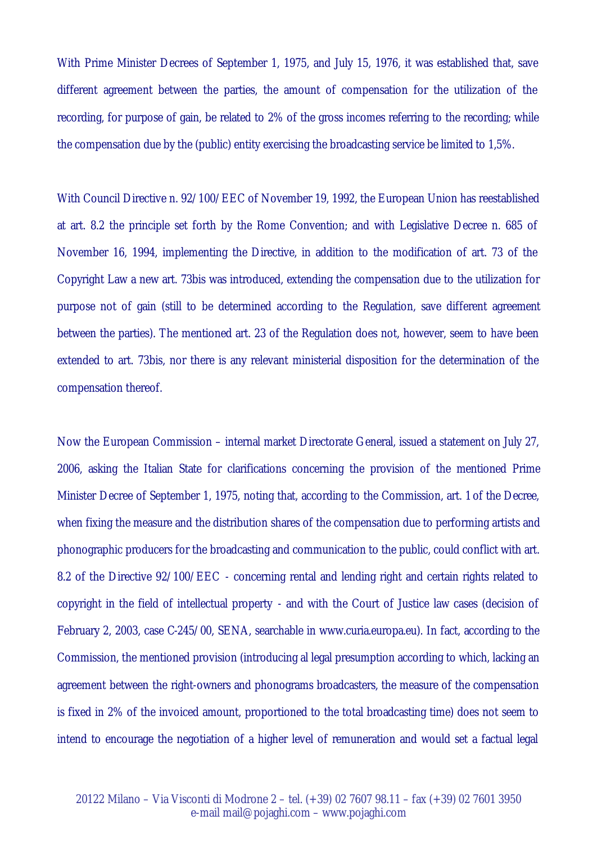With Prime Minister Decrees of September 1, 1975, and July 15, 1976, it was established that, save different agreement between the parties, the amount of compensation for the utilization of the recording, for purpose of gain, be related to 2% of the gross incomes referring to the recording; while the compensation due by the (public) entity exercising the broadcasting service be limited to 1,5%.

With Council Directive n. 92/100/EEC of November 19, 1992, the European Union has reestablished at art. 8.2 the principle set forth by the Rome Convention; and with Legislative Decree n. 685 of November 16, 1994, implementing the Directive, in addition to the modification of art. 73 of the Copyright Law a new art. 73bis was introduced, extending the compensation due to the utilization for purpose not of gain (still to be determined according to the Regulation, save different agreement between the parties). The mentioned art. 23 of the Regulation does not, however, seem to have been extended to art. 73bis, nor there is any relevant ministerial disposition for the determination of the compensation thereof.

Now the European Commission – internal market Directorate General, issued a statement on July 27, 2006, asking the Italian State for clarifications concerning the provision of the mentioned Prime Minister Decree of September 1, 1975, noting that, according to the Commission, art. 1 of the Decree, when fixing the measure and the distribution shares of the compensation due to performing artists and phonographic producers for the broadcasting and communication to the public, could conflict with art. 8.2 of the Directive 92/100/EEC - concerning rental and lending right and certain rights related to copyright in the field of intellectual property - and with the Court of Justice law cases (decision of February 2, 2003, case C-245/00, SENA, searchable in www.curia.europa.eu). In fact, according to the Commission, the mentioned provision (introducing al legal presumption according to which, lacking an agreement between the right-owners and phonograms broadcasters, the measure of the compensation is fixed in 2% of the invoiced amount, proportioned to the total broadcasting time) does not seem to intend to encourage the negotiation of a higher level of remuneration and would set a factual legal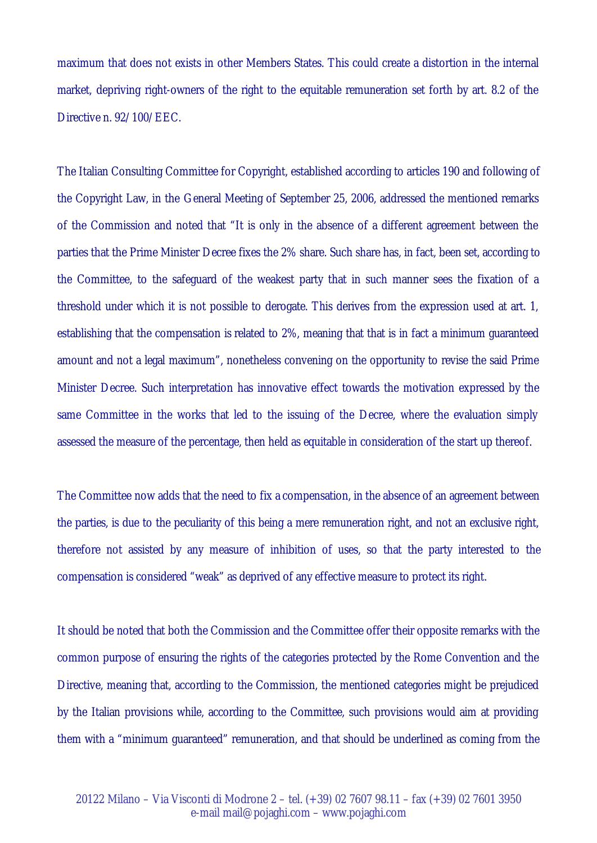maximum that does not exists in other Members States. This could create a distortion in the internal market, depriving right-owners of the right to the equitable remuneration set forth by art. 8.2 of the Directive n. 92/100/EEC.

The Italian Consulting Committee for Copyright, established according to articles 190 and following of the Copyright Law, in the General Meeting of September 25, 2006, addressed the mentioned remarks of the Commission and noted that "It is only in the absence of a different agreement between the parties that the Prime Minister Decree fixes the 2% share. Such share has, in fact, been set, according to the Committee, to the safeguard of the weakest party that in such manner sees the fixation of a threshold under which it is not possible to derogate. This derives from the expression used at art. 1, establishing that the compensation is related to 2%, meaning that that is in fact a minimum guaranteed amount and not a legal maximum", nonetheless convening on the opportunity to revise the said Prime Minister Decree. Such interpretation has innovative effect towards the motivation expressed by the same Committee in the works that led to the issuing of the Decree, where the evaluation simply assessed the measure of the percentage, then held as equitable in consideration of the start up thereof.

The Committee now adds that the need to fix a compensation, in the absence of an agreement between the parties, is due to the peculiarity of this being a mere remuneration right, and not an exclusive right, therefore not assisted by any measure of inhibition of uses, so that the party interested to the compensation is considered "weak" as deprived of any effective measure to protect its right.

It should be noted that both the Commission and the Committee offer their opposite remarks with the common purpose of ensuring the rights of the categories protected by the Rome Convention and the Directive, meaning that, according to the Commission, the mentioned categories might be prejudiced by the Italian provisions while, according to the Committee, such provisions would aim at providing them with a "minimum guaranteed" remuneration, and that should be underlined as coming from the